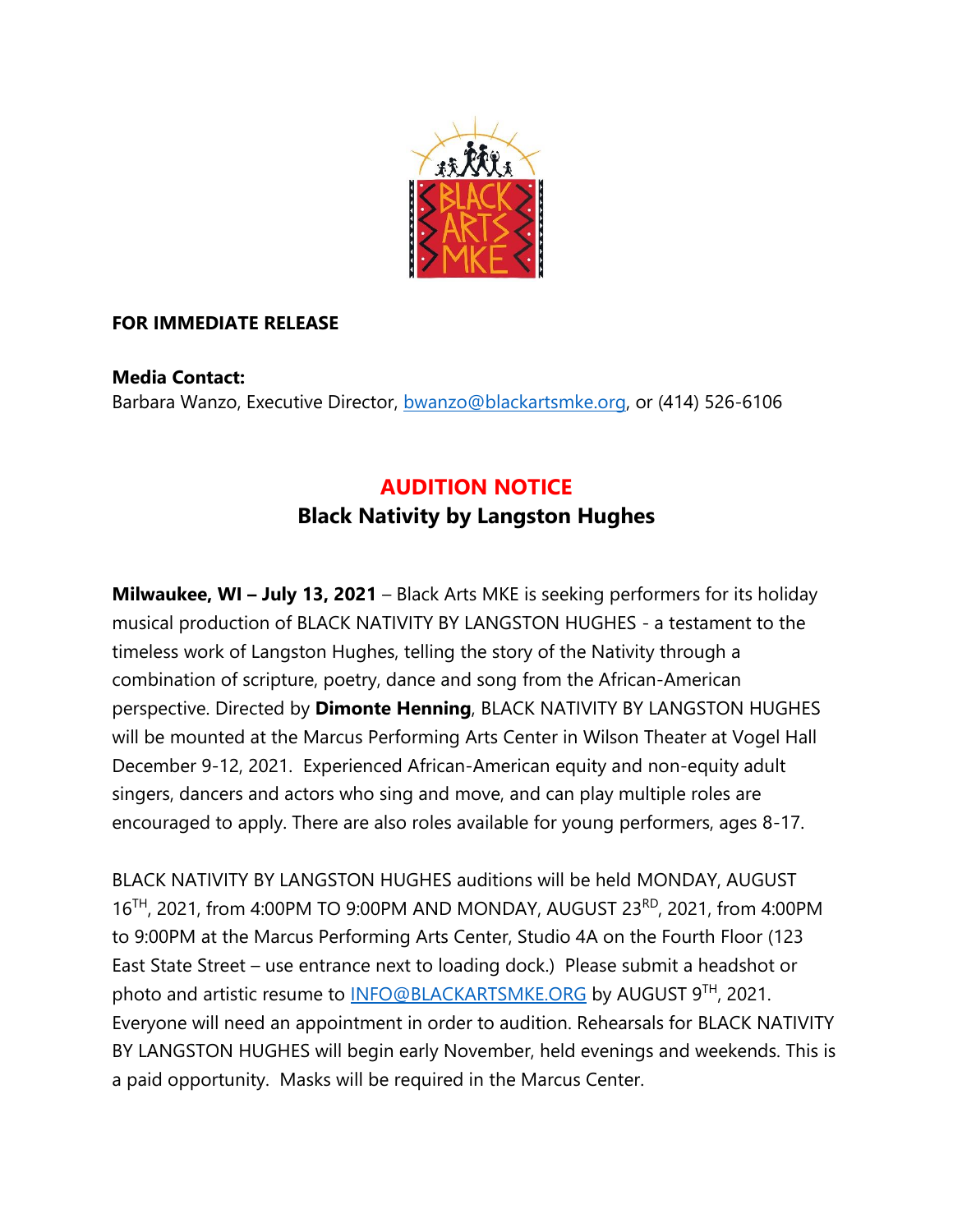

## **FOR IMMEDIATE RELEASE**

**Media Contact:** Barbara Wanzo, Executive Director, [bwanzo@blackartsmke.org,](mailto:bwanzo@blackartsmke.org) or (414) 526-6106

## **AUDITION NOTICE Black Nativity by Langston Hughes**

**Milwaukee, WI – July 13, 2021** – Black Arts MKE is seeking performers for its holiday musical production of BLACK NATIVITY BY LANGSTON HUGHES - a testament to the timeless work of Langston Hughes, telling the story of the Nativity through a combination of scripture, poetry, dance and song from the African-American perspective. Directed by **Dimonte Henning**, BLACK NATIVITY BY LANGSTON HUGHES will be mounted at the Marcus Performing Arts Center in Wilson Theater at Vogel Hall December 9-12, 2021. Experienced African-American equity and non-equity adult singers, dancers and actors who sing and move, and can play multiple roles are encouraged to apply. There are also roles available for young performers, ages 8-17.

BLACK NATIVITY BY LANGSTON HUGHES auditions will be held MONDAY, AUGUST 16<sup>TH</sup>, 2021, from 4:00PM TO 9:00PM AND MONDAY, AUGUST 23<sup>RD</sup>, 2021, from 4:00PM to 9:00PM at the Marcus Performing Arts Center, Studio 4A on the Fourth Floor (123 East State Street – use entrance next to loading dock.) Please submit a headshot or photo and artistic resume to **INFO@BLACKARTSMKE.ORG** by AUGUST 9TH, 2021. Everyone will need an appointment in order to audition. Rehearsals for BLACK NATIVITY BY LANGSTON HUGHES will begin early November, held evenings and weekends. This is a paid opportunity. Masks will be required in the Marcus Center.